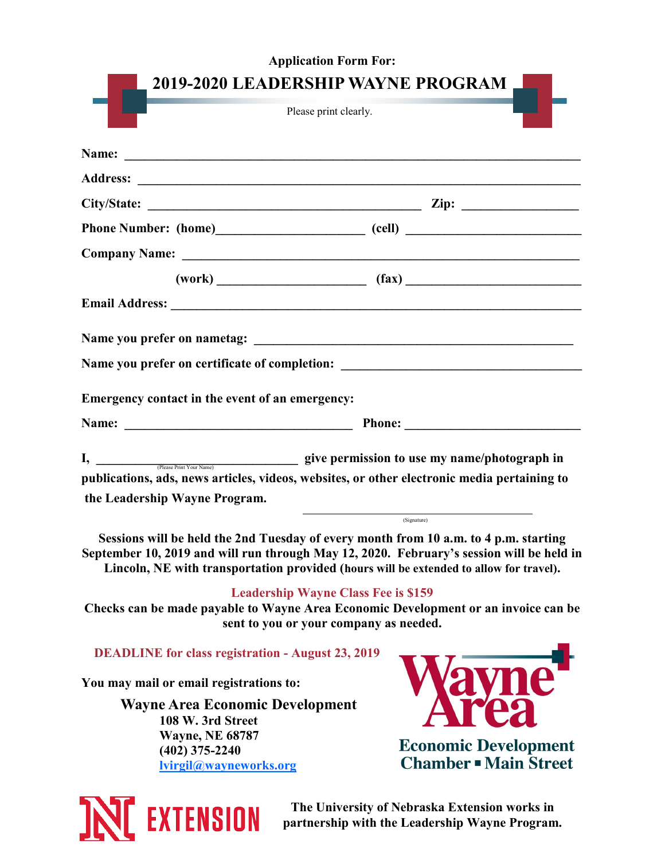|                                                 | <b>Application Form For:</b>                                                                                                                                                                                                                                                              |  |
|-------------------------------------------------|-------------------------------------------------------------------------------------------------------------------------------------------------------------------------------------------------------------------------------------------------------------------------------------------|--|
|                                                 | 2019-2020 LEADERSHIP WAYNE PROGRAM<br>Please print clearly.                                                                                                                                                                                                                               |  |
|                                                 |                                                                                                                                                                                                                                                                                           |  |
|                                                 |                                                                                                                                                                                                                                                                                           |  |
|                                                 |                                                                                                                                                                                                                                                                                           |  |
|                                                 |                                                                                                                                                                                                                                                                                           |  |
|                                                 |                                                                                                                                                                                                                                                                                           |  |
|                                                 | $(work)$ (fax) (fax)                                                                                                                                                                                                                                                                      |  |
|                                                 |                                                                                                                                                                                                                                                                                           |  |
|                                                 |                                                                                                                                                                                                                                                                                           |  |
|                                                 | Name you prefer on certificate of completion: ___________________________________                                                                                                                                                                                                         |  |
| Emergency contact in the event of an emergency: |                                                                                                                                                                                                                                                                                           |  |
|                                                 |                                                                                                                                                                                                                                                                                           |  |
|                                                 |                                                                                                                                                                                                                                                                                           |  |
|                                                 | publications, ads, news articles, videos, websites, or other electronic media pertaining to                                                                                                                                                                                               |  |
| the Leadership Wayne Program.                   |                                                                                                                                                                                                                                                                                           |  |
|                                                 | (Signature)<br>Sessions will be held the 2nd Tuesday of every month from 10 a.m. to 4 p.m. starting<br>September 10, 2019 and will run through May 12, 2020. February's session will be held in<br>Lincoln, NE with transportation provided (hours will be extended to allow for travel). |  |
|                                                 | <b>Leadership Wayne Class Fee is \$159</b><br>Checks can be made payable to Wayne Area Economic Development or an invoice can be<br>sent to you or your company as needed.                                                                                                                |  |
|                                                 | <b>DEADLINE</b> for class registration - August 23, 2019                                                                                                                                                                                                                                  |  |
| You may mail or email registrations to:         |                                                                                                                                                                                                                                                                                           |  |
|                                                 | <b>Wayne Area Economic Development</b>                                                                                                                                                                                                                                                    |  |
| 108 W. 3rd Street                               |                                                                                                                                                                                                                                                                                           |  |
| <b>Wayne, NE 68787</b><br>$(402)$ 375-2240      | <b>Economic Development</b>                                                                                                                                                                                                                                                               |  |
| lvirgil@wayneworks.org                          | <b>Chamber - Main Street</b>                                                                                                                                                                                                                                                              |  |
|                                                 | The University of Nehraska Extension works in                                                                                                                                                                                                                                             |  |

**INCEXTENSION** 

**The University of Nebraska Extension works in partnership with the Leadership Wayne Program.**